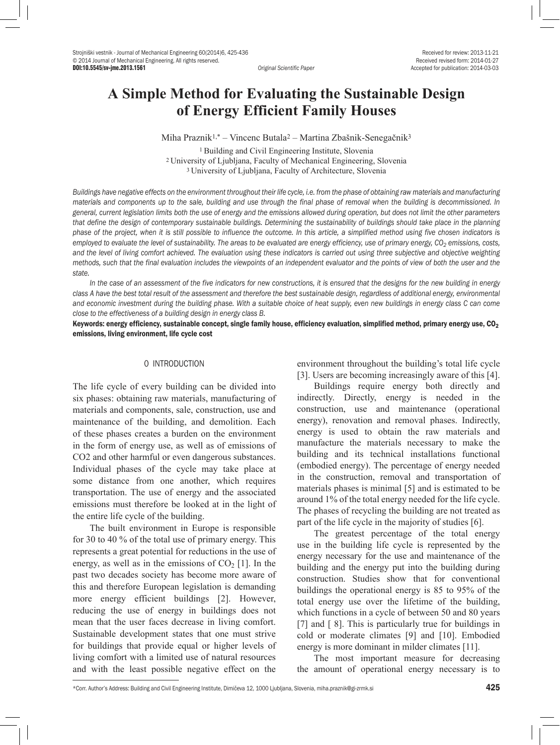DOI:10.5545/sv-jme.2013.1561 *Original Scientific Paper* Accepted for publication: 2014-03-03

# **A Simple Method for Evaluating the Sustainable Design of Energy Efficient Family Houses**

Miha Praznik1,\* – Vincenc Butala2 – Martina Zbašnik-Senegačnik<sup>3</sup>

1 Building and Civil Engineering Institute, Slovenia 2 University of Ljubljana, Faculty of Mechanical Engineering, Slovenia 3 University of Ljubljana, Faculty of Architecture, Slovenia

*Buildings have negative effects on the environment throughout their life cycle, i.e. from the phase of obtaining raw materials and manufacturing materials and components up to the sale, building and use through the final phase of removal when the building is decommissioned. In general, current legislation limits both the use of energy and the emissions allowed during operation, but does not limit the other parameters*  that define the design of contemporary sustainable buildings. Determining the sustainability of buildings should take place in the planning *phase of the project, when it is still possible to influence the outcome. In this article, a simplified method using five chosen indicators is*  employed to evaluate the level of sustainability. The areas to be evaluated are energy efficiency, use of primary energy, CO<sub>2</sub> emissions, costs, and the level of living comfort achieved. The evaluation using these indicators is carried out using three subjective and objective weighting *methods, such that the final evaluation includes the viewpoints of an independent evaluator and the points of view of both the user and the state.* 

*In the case of an assessment of the five indicators for new constructions, it is ensured that the designs for the new building in energy class A have the best total result of the assessment and therefore the best sustainable design, regardless of additional energy, environmental*  and economic investment during the building phase. With a suitable choice of heat supply, even new buildings in energy class C can come *close to the effectiveness of a building design in energy class B.* 

Keywords: energy efficiency, sustainable concept, single family house, efficiency evaluation, simplified method, primary energy use,  $CO<sub>2</sub>$ emissions, living environment, life cycle cost

#### 0 INTRODUCTION

The life cycle of every building can be divided into six phases: obtaining raw materials, manufacturing of materials and components, sale, construction, use and maintenance of the building, and demolition. Each of these phases creates a burden on the environment in the form of energy use, as well as of emissions of CO2 and other harmful or even dangerous substances. Individual phases of the cycle may take place at some distance from one another, which requires transportation. The use of energy and the associated emissions must therefore be looked at in the light of the entire life cycle of the building.

The built environment in Europe is responsible for 30 to 40 % of the total use of primary energy. This represents a great potential for reductions in the use of energy, as well as in the emissions of  $CO<sub>2</sub>$  [1]. In the past two decades society has become more aware of this and therefore European legislation is demanding more energy efficient buildings [2]. However, reducing the use of energy in buildings does not mean that the user faces decrease in living comfort. Sustainable development states that one must strive for buildings that provide equal or higher levels of living comfort with a limited use of natural resources and with the least possible negative effect on the

environment throughout the building's total life cycle [3]. Users are becoming increasingly aware of this [4].

Buildings require energy both directly and indirectly. Directly, energy is needed in the construction, use and maintenance (operational energy), renovation and removal phases. Indirectly, energy is used to obtain the raw materials and manufacture the materials necessary to make the building and its technical installations functional (embodied energy). The percentage of energy needed in the construction, removal and transportation of materials phases is minimal [5] and is estimated to be around 1% of the total energy needed for the life cycle. The phases of recycling the building are not treated as part of the life cycle in the majority of studies [6].

The greatest percentage of the total energy use in the building life cycle is represented by the energy necessary for the use and maintenance of the building and the energy put into the building during construction. Studies show that for conventional buildings the operational energy is 85 to 95% of the total energy use over the lifetime of the building, which functions in a cycle of between 50 and 80 years [7] and [8]. This is particularly true for buildings in cold or moderate climates [9] and [10]. Embodied energy is more dominant in milder climates [11].

The most important measure for decreasing the amount of operational energy necessary is to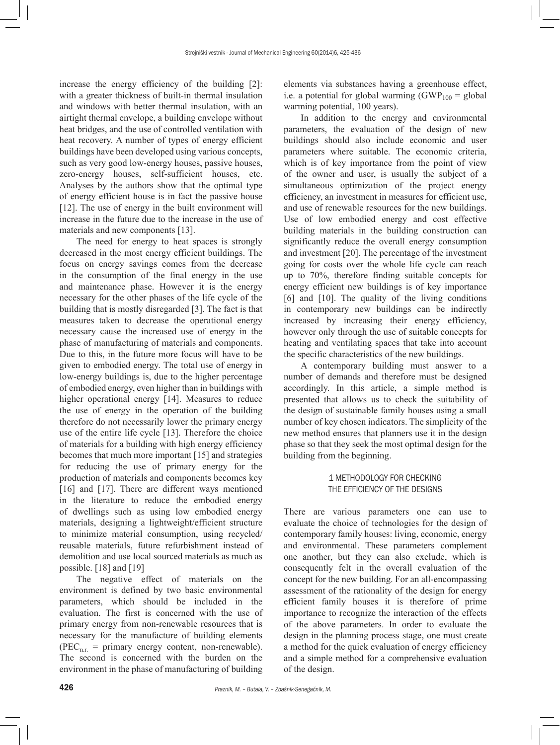increase the energy efficiency of the building [2]: with a greater thickness of built-in thermal insulation and windows with better thermal insulation, with an airtight thermal envelope, a building envelope without heat bridges, and the use of controlled ventilation with heat recovery. A number of types of energy efficient buildings have been developed using various concepts, such as very good low-energy houses, passive houses, zero-energy houses, self-sufficient houses, etc. Analyses by the authors show that the optimal type of energy efficient house is in fact the passive house [12]. The use of energy in the built environment will increase in the future due to the increase in the use of materials and new components [13].

The need for energy to heat spaces is strongly decreased in the most energy efficient buildings. The focus on energy savings comes from the decrease in the consumption of the final energy in the use and maintenance phase. However it is the energy necessary for the other phases of the life cycle of the building that is mostly disregarded [3]. The fact is that measures taken to decrease the operational energy necessary cause the increased use of energy in the phase of manufacturing of materials and components. Due to this, in the future more focus will have to be given to embodied energy. The total use of energy in low-energy buildings is, due to the higher percentage of embodied energy, even higher than in buildings with higher operational energy [14]. Measures to reduce the use of energy in the operation of the building therefore do not necessarily lower the primary energy use of the entire life cycle [13]. Therefore the choice of materials for a building with high energy efficiency becomes that much more important [15] and strategies for reducing the use of primary energy for the production of materials and components becomes key [16] and [17]. There are different ways mentioned in the literature to reduce the embodied energy of dwellings such as using low embodied energy materials, designing a lightweight/efficient structure to minimize material consumption, using recycled/ reusable materials, future refurbishment instead of demolition and use local sourced materials as much as possible.  $[18]$  and  $[19]$ 

The negative effect of materials on the environment is defined by two basic environmental parameters, which should be included in the evaluation. The first is concerned with the use of primary energy from non-renewable resources that is necessary for the manufacture of building elements  $(PEC_{n.r.}$  = primary energy content, non-renewable). The second is concerned with the burden on the environment in the phase of manufacturing of building elements via substances having a greenhouse effect, i.e. a potential for global warming  $(GWP_{100} = global$ warming potential, 100 years).

In addition to the energy and environmental parameters, the evaluation of the design of new buildings should also include economic and user parameters where suitable. The economic criteria, which is of key importance from the point of view of the owner and user, is usually the subject of a simultaneous optimization of the project energy efficiency, an investment in measures for efficient use, and use of renewable resources for the new buildings. Use of low embodied energy and cost effective building materials in the building construction can significantly reduce the overall energy consumption and investment [20]. The percentage of the investment going for costs over the whole life cycle can reach up to 70%, therefore finding suitable concepts for energy efficient new buildings is of key importance [6] and [10]. The quality of the living conditions in contemporary new buildings can be indirectly increased by increasing their energy efficiency, however only through the use of suitable concepts for heating and ventilating spaces that take into account the specific characteristics of the new buildings.

A contemporary building must answer to a number of demands and therefore must be designed accordingly. In this article, a simple method is presented that allows us to check the suitability of the design of sustainable family houses using a small number of key chosen indicators. The simplicity of the new method ensures that planners use it in the design phase so that they seek the most optimal design for the building from the beginning.

## 1 METHODOLOGY FOR CHECKING THE EFFICIENCY OF THE DESIGNS

There are various parameters one can use to evaluate the choice of technologies for the design of contemporary family houses: living, economic, energy and environmental. These parameters complement one another, but they can also exclude, which is consequently felt in the overall evaluation of the concept for the new building. For an all-encompassing assessment of the rationality of the design for energy efficient family houses it is therefore of prime importance to recognize the interaction of the effects of the above parameters. In order to evaluate the design in the planning process stage, one must create a method for the quick evaluation of energy efficiency and a simple method for a comprehensive evaluation of the design.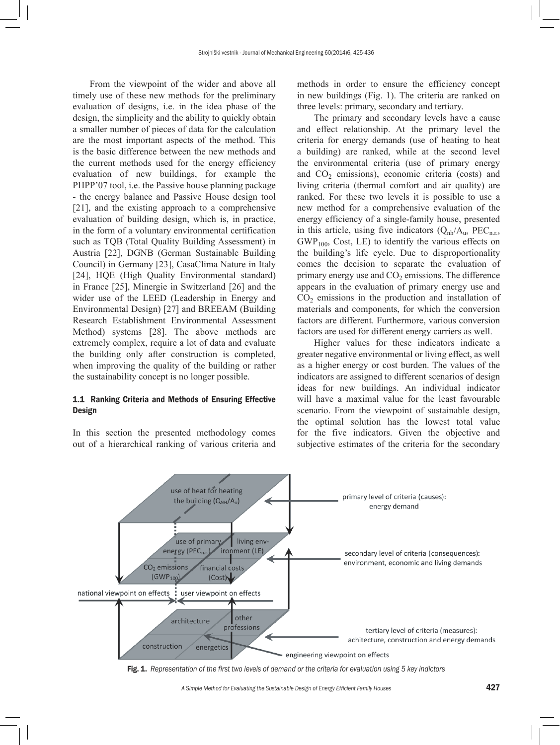From the viewpoint of the wider and above all timely use of these new methods for the preliminary evaluation of designs, i.e. in the idea phase of the design, the simplicity and the ability to quickly obtain a smaller number of pieces of data for the calculation are the most important aspects of the method. This is the basic difference between the new methods and the current methods used for the energy efficiency evaluation of new buildings, for example the PHPP'07 tool, i.e. the Passive house planning package - the energy balance and Passive House design tool [21], and the existing approach to a comprehensive evaluation of building design, which is, in practice, in the form of a voluntary environmental certification such as TQB (Total Quality Building Assessment) in Austria [22], DGNB (German Sustainable Building Council) in Germany [23], CasaClima Nature in Italy [24], HQE (High Quality Environmental standard) in France [25], Minergie in Switzerland [26] and the wider use of the LEED (Leadership in Energy and Environmental Design) [27] and BREEAM (Building Research Establishment Environmental Assessment Method) systems [28]. The above methods are extremely complex, require a lot of data and evaluate the building only after construction is completed, when improving the quality of the building or rather the sustainability concept is no longer possible.

## 1.1 Ranking Criteria and Methods of Ensuring Effective Design

In this section the presented methodology comes out of a hierarchical ranking of various criteria and methods in order to ensure the efficiency concept in new buildings (Fig. 1). The criteria are ranked on three levels: primary, secondary and tertiary.

The primary and secondary levels have a cause and effect relationship. At the primary level the criteria for energy demands (use of heating to heat a building) are ranked, while at the second level the environmental criteria (use of primary energy and  $CO<sub>2</sub>$  emissions), economic criteria (costs) and living criteria (thermal comfort and air quality) are ranked. For these two levels it is possible to use a new method for a comprehensive evaluation of the energy efficiency of a single-family house, presented in this article, using five indicators  $(Q_{nh}/A_n,PEC_{n,r}$ ,  $GWP<sub>100</sub>$ , Cost, LE) to identify the various effects on the building's life cycle. Due to disproportionality comes the decision to separate the evaluation of primary energy use and  $CO<sub>2</sub>$  emissions. The difference appears in the evaluation of primary energy use and  $CO<sub>2</sub>$  emissions in the production and installation of materials and components, for which the conversion factors are different. Furthermore, various conversion factors are used for different energy carriers as well.

Higher values for these indicators indicate a greater negative environmental or living effect, as well as a higher energy or cost burden. The values of the indicators are assigned to different scenarios of design ideas for new buildings. An individual indicator will have a maximal value for the least favourable scenario. From the viewpoint of sustainable design, the optimal solution has the lowest total value for the five indicators. Given the objective and subjective estimates of the criteria for the secondary



Fig. 1. *Representation of the first two levels of demand or the criteria for evaluation using 5 key indictors*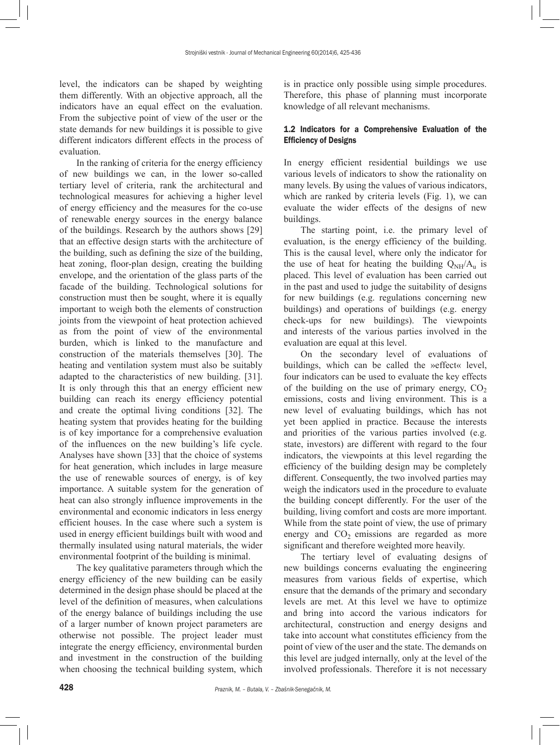level, the indicators can be shaped by weighting them differently. With an objective approach, all the indicators have an equal effect on the evaluation. From the subjective point of view of the user or the state demands for new buildings it is possible to give different indicators different effects in the process of evaluation.

In the ranking of criteria for the energy efficiency of new buildings we can, in the lower so-called tertiary level of criteria, rank the architectural and technological measures for achieving a higher level of energy efficiency and the measures for the co-use of renewable energy sources in the energy balance of the buildings. Research by the authors shows [29] that an effective design starts with the architecture of the building, such as defining the size of the building, heat zoning, floor-plan design, creating the building envelope, and the orientation of the glass parts of the facade of the building. Technological solutions for construction must then be sought, where it is equally important to weigh both the elements of construction joints from the viewpoint of heat protection achieved as from the point of view of the environmental burden, which is linked to the manufacture and construction of the materials themselves [30]. The heating and ventilation system must also be suitably adapted to the characteristics of new building. [31]. It is only through this that an energy efficient new building can reach its energy efficiency potential and create the optimal living conditions [32]. The heating system that provides heating for the building is of key importance for a comprehensive evaluation of the influences on the new building's life cycle. Analyses have shown [33] that the choice of systems for heat generation, which includes in large measure the use of renewable sources of energy, is of key importance. A suitable system for the generation of heat can also strongly influence improvements in the environmental and economic indicators in less energy efficient houses. In the case where such a system is used in energy efficient buildings built with wood and thermally insulated using natural materials, the wider environmental footprint of the building is minimal.

The key qualitative parameters through which the energy efficiency of the new building can be easily determined in the design phase should be placed at the level of the definition of measures, when calculations of the energy balance of buildings including the use of a larger number of known project parameters are otherwise not possible. The project leader must integrate the energy efficiency, environmental burden and investment in the construction of the building when choosing the technical building system, which is in practice only possible using simple procedures. Therefore, this phase of planning must incorporate knowledge of all relevant mechanisms.

## 1.2 Indicators for a Comprehensive Evaluation of the Efficiency of Designs

In energy efficient residential buildings we use various levels of indicators to show the rationality on many levels. By using the values of various indicators, which are ranked by criteria levels (Fig. 1), we can evaluate the wider effects of the designs of new buildings.

The starting point, i.e. the primary level of evaluation, is the energy efficiency of the building. This is the causal level, where only the indicator for the use of heat for heating the building  $Q_{NH}/A_u$  is placed. This level of evaluation has been carried out in the past and used to judge the suitability of designs for new buildings (e.g. regulations concerning new buildings) and operations of buildings (e.g. energy check-ups for new buildings). The viewpoints and interests of the various parties involved in the evaluation are equal at this level.

On the secondary level of evaluations of buildings, which can be called the »effect« level, four indicators can be used to evaluate the key effects of the building on the use of primary energy,  $CO<sub>2</sub>$ emissions, costs and living environment. This is a new level of evaluating buildings, which has not yet been applied in practice. Because the interests and priorities of the various parties involved (e.g. state, investors) are different with regard to the four indicators, the viewpoints at this level regarding the efficiency of the building design may be completely different. Consequently, the two involved parties may weigh the indicators used in the procedure to evaluate the building concept differently. For the user of the building, living comfort and costs are more important. While from the state point of view, the use of primary energy and  $CO<sub>2</sub>$  emissions are regarded as more significant and therefore weighted more heavily.

The tertiary level of evaluating designs of new buildings concerns evaluating the engineering measures from various fields of expertise, which ensure that the demands of the primary and secondary levels are met. At this level we have to optimize and bring into accord the various indicators for architectural, construction and energy designs and take into account what constitutes efficiency from the point of view of the user and the state. The demands on this level are judged internally, only at the level of the involved professionals. Therefore it is not necessary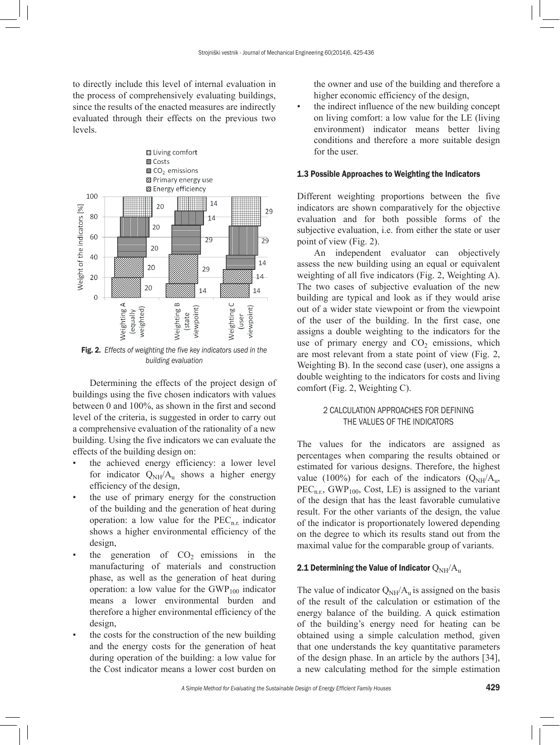to directly include this level of internal evaluation in the process of comprehensively evaluating buildings, since the results of the enacted measures are indirectly evaluated through their effects on the previous two levels.



*building evaluation*

Determining the effects of the project design of buildings using the five chosen indicators with values between 0 and 100%, as shown in the first and second level of the criteria, is suggested in order to carry out a comprehensive evaluation of the rationality of a new building. Using the five indicators we can evaluate the effects of the building design on:

- the achieved energy efficiency: a lower level for indicator  $Q_{NH}/A_u$  shows a higher energy efficiency of the design,
- the use of primary energy for the construction of the building and the generation of heat during operation: a low value for the  $PEC_{n,r}$  indicator shows a higher environmental efficiency of the design,
- the generation of  $CO<sub>2</sub>$  emissions in the manufacturing of materials and construction phase, as well as the generation of heat during operation: a low value for the  $GWP<sub>100</sub>$  indicator means a lower environmental burden and therefore a higher environmental efficiency of the design,
- the costs for the construction of the new building and the energy costs for the generation of heat during operation of the building: a low value for the Cost indicator means a lower cost burden on

the owner and use of the building and therefore a higher economic efficiency of the design,

• the indirect influence of the new building concept on living comfort: a low value for the LE (living environment) indicator means better living conditions and therefore a more suitable design for the user.

### 1.3 Possible Approaches to Weighting the Indicators

Different weighting proportions between the five indicators are shown comparatively for the objective evaluation and for both possible forms of the subjective evaluation, i.e. from either the state or user point of view (Fig. 2).

An independent evaluator can objectively assess the new building using an equal or equivalent weighting of all five indicators (Fig. 2, Weighting A). The two cases of subjective evaluation of the new building are typical and look as if they would arise out of a wider state viewpoint or from the viewpoint of the user of the building. In the first case, one assigns a double weighting to the indicators for the use of primary energy and  $CO<sub>2</sub>$  emissions, which are most relevant from a state point of view (Fig. 2, Weighting B). In the second case (user), one assigns a double weighting to the indicators for costs and living comfort (Fig. 2, Weighting C).

## 2 CALCULATION APPROACHES FOR DEFINING THE VALUES OF THE INDICATORS

The values for the indicators are assigned as percentages when comparing the results obtained or estimated for various designs. Therefore, the highest value (100%) for each of the indicators ( $Q_{NH}/A_u$ ,  $PEC_{n.r.}$ , GWP<sub>100</sub>, Cost, LE) is assigned to the variant of the design that has the least favorable cumulative result. For the other variants of the design, the value of the indicator is proportionately lowered depending on the degree to which its results stand out from the maximal value for the comparable group of variants.

#### 2.1 Determining the Value of Indicator  $Q_{NH}/A_{u}$

The value of indicator  $Q_{NH}/A_u$  is assigned on the basis of the result of the calculation or estimation of the energy balance of the building. A quick estimation of the building's energy need for heating can be obtained using a simple calculation method, given that one understands the key quantitative parameters of the design phase. In an article by the authors [34], a new calculating method for the simple estimation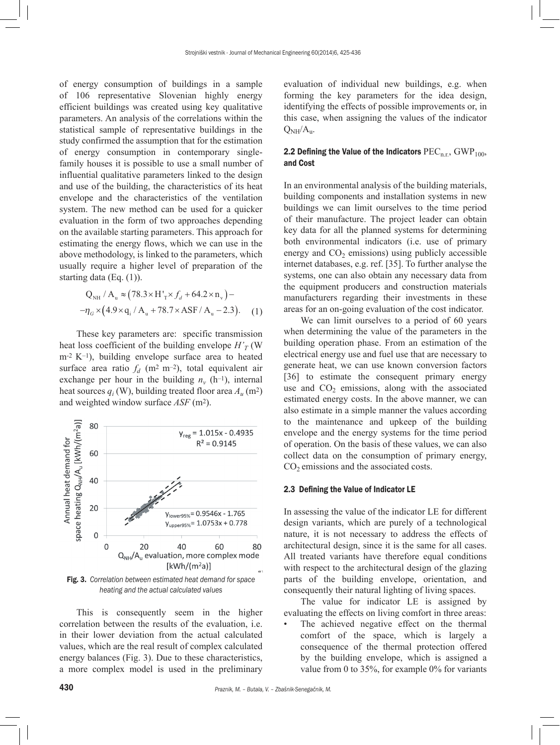of energy consumption of buildings in a sample of 106 representative Slovenian highly energy efficient buildings was created using key qualitative parameters. An analysis of the correlations within the statistical sample of representative buildings in the study confirmed the assumption that for the estimation of energy consumption in contemporary singlefamily houses it is possible to use a small number of influential qualitative parameters linked to the design and use of the building, the characteristics of its heat envelope and the characteristics of the ventilation system. The new method can be used for a quicker evaluation in the form of two approaches depending on the available starting parameters. This approach for estimating the energy flows, which we can use in the above methodology, is linked to the parameters, which usually require a higher level of preparation of the starting data (Eq. (1)).

$$
Q_{NH} / A_u \approx (78.3 \times H'_T \times f_d + 64.2 \times n_v) -
$$
  
- $\eta_G \times (4.9 \times q_i / A_u + 78.7 \times ASF / A_u - 2.3).$  (1)

These key parameters are: specific transmission heat loss coefficient of the building envelope  $H'_T$  (W  $m<sup>-2</sup> K<sup>-1</sup>$ ), building envelope surface area to heated surface area ratio  $f<sub>d</sub>$  (m<sup>2</sup> m<sup>-2</sup>), total equivalent air exchange per hour in the building  $n_v$  (h<sup>-1</sup>), internal heat sources  $q_i$  (W), building treated floor area  $A_u$  (m<sup>2</sup>) and weighted window surface *ASF* (m2).



Fig. 3. *Correlation between estimated heat demand for space heating and the actual calculated values*

This is consequently seem in the higher correlation between the results of the evaluation, i.e. in their lower deviation from the actual calculated values, which are the real result of complex calculated energy balances (Fig. 3). Due to these characteristics, a more complex model is used in the preliminary

evaluation of individual new buildings, e.g. when forming the key parameters for the idea design, identifying the effects of possible improvements or, in this case, when assigning the values of the indicator  $Q_{NH}/A_u$ .

## 2.2 Defining the Value of the Indicators  $PEC_{n.r.}$ ,  $GWP_{100}$ , and Cost

In an environmental analysis of the building materials, building components and installation systems in new buildings we can limit ourselves to the time period of their manufacture. The project leader can obtain key data for all the planned systems for determining both environmental indicators (i.e. use of primary energy and  $CO<sub>2</sub>$  emissions) using publicly accessible internet databases, e.g. ref. [35]. To further analyse the systems, one can also obtain any necessary data from the equipment producers and construction materials manufacturers regarding their investments in these areas for an on-going evaluation of the cost indicator.

We can limit ourselves to a period of 60 years when determining the value of the parameters in the building operation phase. From an estimation of the electrical energy use and fuel use that are necessary to generate heat, we can use known conversion factors [36] to estimate the consequent primary energy use and  $CO<sub>2</sub>$  emissions, along with the associated estimated energy costs. In the above manner, we can also estimate in a simple manner the values according to the maintenance and upkeep of the building envelope and the energy systems for the time period of operation. On the basis of these values, we can also collect data on the consumption of primary energy,  $CO<sub>2</sub>$  emissions and the associated costs.

#### 2.3 Defining the Value of Indicator LE

In assessing the value of the indicator LE for different design variants, which are purely of a technological nature, it is not necessary to address the effects of architectural design, since it is the same for all cases. All treated variants have therefore equal conditions with respect to the architectural design of the glazing parts of the building envelope, orientation, and consequently their natural lighting of living spaces.

The value for indicator LE is assigned by evaluating the effects on living comfort in three areas:

The achieved negative effect on the thermal comfort of the space, which is largely a consequence of the thermal protection offered by the building envelope, which is assigned a value from 0 to 35%, for example 0% for variants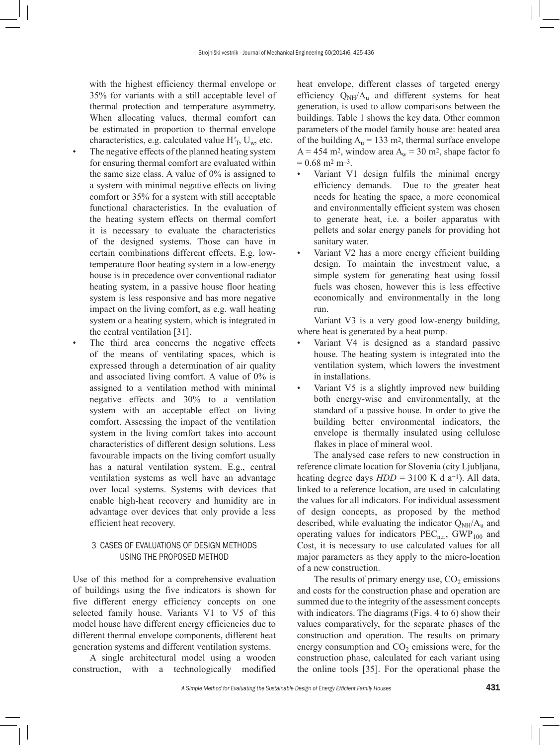with the highest efficiency thermal envelope or 35% for variants with a still acceptable level of thermal protection and temperature asymmetry. When allocating values, thermal comfort can be estimated in proportion to thermal envelope characteristics, e.g. calculated value H*'*T, Uw, etc.

- The negative effects of the planned heating system for ensuring thermal comfort are evaluated within the same size class. A value of 0% is assigned to a system with minimal negative effects on living comfort or 35% for a system with still acceptable functional characteristics. In the evaluation of the heating system effects on thermal comfort it is necessary to evaluate the characteristics of the designed systems. Those can have in certain combinations different effects. E.g. lowtemperature floor heating system in a low-energy house is in precedence over conventional radiator heating system, in a passive house floor heating system is less responsive and has more negative impact on the living comfort, as e.g. wall heating system or a heating system, which is integrated in the central ventilation [31].
- The third area concerns the negative effects of the means of ventilating spaces, which is expressed through a determination of air quality and associated living comfort. A value of 0% is assigned to a ventilation method with minimal negative effects and 30% to a ventilation system with an acceptable effect on living comfort. Assessing the impact of the ventilation system in the living comfort takes into account characteristics of different design solutions. Less favourable impacts on the living comfort usually has a natural ventilation system. E.g., central ventilation systems as well have an advantage over local systems. Systems with devices that enable high-heat recovery and humidity are in advantage over devices that only provide a less efficient heat recovery.

## 3 CASES OF EVALUATIONS OF DESIGN METHODS USING THE PROPOSED METHOD

Use of this method for a comprehensive evaluation of buildings using the five indicators is shown for five different energy efficiency concepts on one selected family house. Variants V1 to V5 of this model house have different energy efficiencies due to different thermal envelope components, different heat generation systems and different ventilation systems.

A single architectural model using a wooden construction, with a technologically modified heat envelope, different classes of targeted energy efficiency  $Q_{NH}/A_u$  and different systems for heat generation, is used to allow comparisons between the buildings. Table 1 shows the key data. Other common parameters of the model family house are: heated area of the building  $A<sub>u</sub> = 133$  m<sup>2</sup>, thermal surface envelope  $A = 454$  m<sup>2</sup>, window area  $A_w = 30$  m<sup>2</sup>, shape factor for  $= 0.68$  m<sup>2</sup> m<sup>-3</sup>.

- Variant V1 design fulfils the minimal energy efficiency demands. Due to the greater heat needs for heating the space, a more economical and environmentally efficient system was chosen to generate heat, i.e. a boiler apparatus with pellets and solar energy panels for providing hot sanitary water.
- Variant V2 has a more energy efficient building design. To maintain the investment value, a simple system for generating heat using fossil fuels was chosen, however this is less effective economically and environmentally in the long run.

Variant V3 is a very good low-energy building, where heat is generated by a heat pump.

- Variant V4 is designed as a standard passive house. The heating system is integrated into the ventilation system, which lowers the investment in installations.
- Variant V5 is a slightly improved new building both energy-wise and environmentally, at the standard of a passive house. In order to give the building better environmental indicators, the envelope is thermally insulated using cellulose flakes in place of mineral wool.

The analysed case refers to new construction in reference climate location for Slovenia (city Ljubljana, heating degree days  $HDD = 3100$  K d a<sup>-1</sup>). All data, linked to a reference location, are used in calculating the values for all indicators. For individual assessment of design concepts, as proposed by the method described, while evaluating the indicator  $Q_{NH}/A_u$  and operating values for indicators  $PEC_{n.r.}$ , GWP<sub>100</sub> and Cost, it is necessary to use calculated values for all major parameters as they apply to the micro-location of a new construction.

The results of primary energy use,  $CO<sub>2</sub>$  emissions and costs for the construction phase and operation are summed due to the integrity of the assessment concepts with indicators. The diagrams (Figs. 4 to 6) show their values comparatively, for the separate phases of the construction and operation. The results on primary energy consumption and  $CO<sub>2</sub>$  emissions were, for the construction phase, calculated for each variant using the online tools [35]. For the operational phase the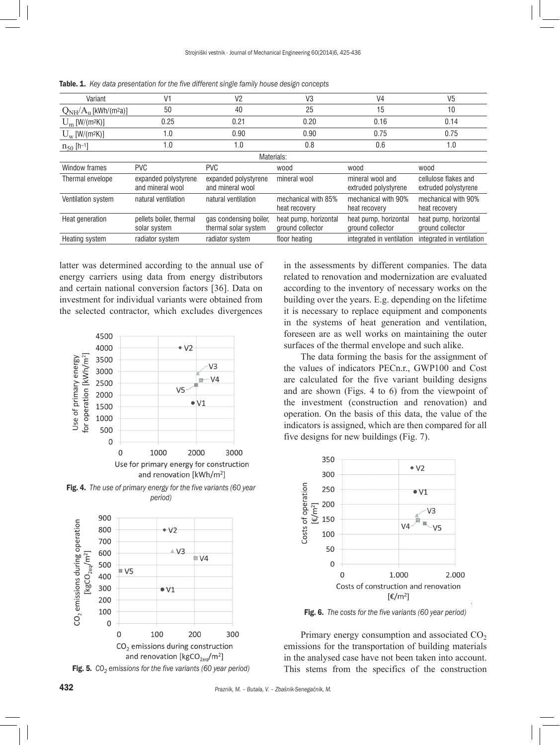| Variant                               | V1                                       | V <sub>2</sub>                                 | V <sub>3</sub>                            | V4                                        | V <sub>5</sub>                               |
|---------------------------------------|------------------------------------------|------------------------------------------------|-------------------------------------------|-------------------------------------------|----------------------------------------------|
| $Q_{NH}/A_u$ [kWh/(m <sup>2</sup> a)] | 50                                       | 40                                             | 25                                        | 15                                        | 10                                           |
| $U_m$ [W/(m <sup>2</sup> K)]          | 0.25                                     | 0.21                                           | 0.20                                      | 0.16                                      | 0.14                                         |
| $U_w$ [W/(m <sup>2</sup> K)]          | 1.0                                      | 0.90                                           | 0.90                                      | 0.75                                      | 0.75                                         |
| $n_{50}$ [h-1]                        | 1.0                                      | 1.0                                            | 0.8                                       | 0.6                                       | 1.0                                          |
| Materials:                            |                                          |                                                |                                           |                                           |                                              |
| Window frames                         | <b>PVC</b>                               | <b>PVC</b>                                     | wood                                      | wood                                      | wood                                         |
| Thermal envelope                      | expanded polystyrene<br>and mineral wool | expanded polystyrene<br>and mineral wool       | mineral wool                              | mineral wool and<br>extruded polystyrene  | cellulose flakes and<br>extruded polystyrene |
| Ventilation system                    | natural ventilation                      | natural ventilation                            | mechanical with 85%<br>heat recovery      | mechanical with 90%<br>heat recovery      | mechanical with 90%<br>heat recovery         |
| Heat generation                       | pellets boiler, thermal<br>solar system  | gas condensing boiler,<br>thermal solar system | heat pump, horizontal<br>ground collector | heat pump, horizontal<br>ground collector | heat pump, horizontal<br>ground collector    |
| Heating system                        | radiator system                          | radiator system                                | floor heating                             | integrated in ventilation                 | integrated in ventilation                    |

Table. 1. *Key data presentation for the five different single family house design concepts*

latter was determined according to the annual use of energy carriers using data from energy distributors and certain national conversion factors [36]. Data on investment for individual variants were obtained from the selected contractor, which excludes divergences



Fig. 4. *The use of primary energy for the five variants (60 year period)*





in the assessments by different companies. The data related to renovation and modernization are evaluated according to the inventory of necessary works on the building over the years. E.g. depending on the lifetime it is necessary to replace equipment and components in the systems of heat generation and ventilation, foreseen are as well works on maintaining the outer surfaces of the thermal envelope and such alike.

The data forming the basis for the assignment of the values of indicators PECn.r., GWP100 and Cost are calculated for the five variant building designs and are shown (Figs. 4 to 6) from the viewpoint of the investment (construction and renovation) and operation. On the basis of this data, the value of the indicators is assigned, which are then compared for all five designs for new buildings (Fig. 7).



Fig. 6. *The costs for the five variants (60 year period)*

Primary energy consumption and associated  $CO<sub>2</sub>$ emissions for the transportation of building materials in the analysed case have not been taken into account. This stems from the specifics of the construction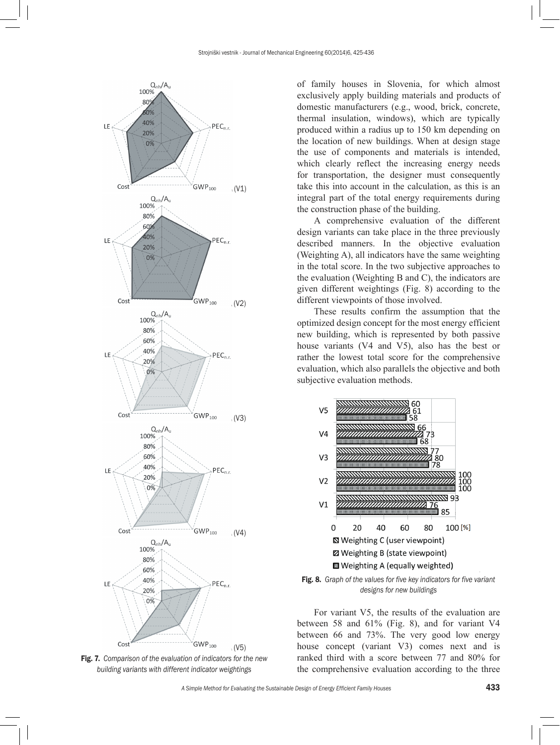



of family houses in Slovenia, for which almost exclusively apply building materials and products of domestic manufacturers (e.g., wood, brick, concrete, thermal insulation, windows), which are typically produced within a radius up to 150 km depending on the location of new buildings. When at design stage the use of components and materials is intended, which clearly reflect the increasing energy needs for transportation, the designer must consequently take this into account in the calculation, as this is an integral part of the total energy requirements during the construction phase of the building.

A comprehensive evaluation of the different design variants can take place in the three previously described manners. In the objective evaluation (Weighting A), all indicators have the same weighting in the total score. In the two subjective approaches to the evaluation (Weighting B and C), the indicators are given different weightings (Fig. 8) according to the different viewpoints of those involved.

These results confirm the assumption that the optimized design concept for the most energy efficient new building, which is represented by both passive house variants (V4 and V5), also has the best or rather the lowest total score for the comprehensive evaluation, which also parallels the objective and both subjective evaluation methods.



Fig. 8. *Graph of the values for five key indicators for five variant designs for new buildings*

For variant V5, the results of the evaluation are between 58 and 61% (Fig. 8), and for variant V4 between 66 and 73%. The very good low energy house concept (variant V3) comes next and is ranked third with a score between 77 and 80% for the comprehensive evaluation according to the three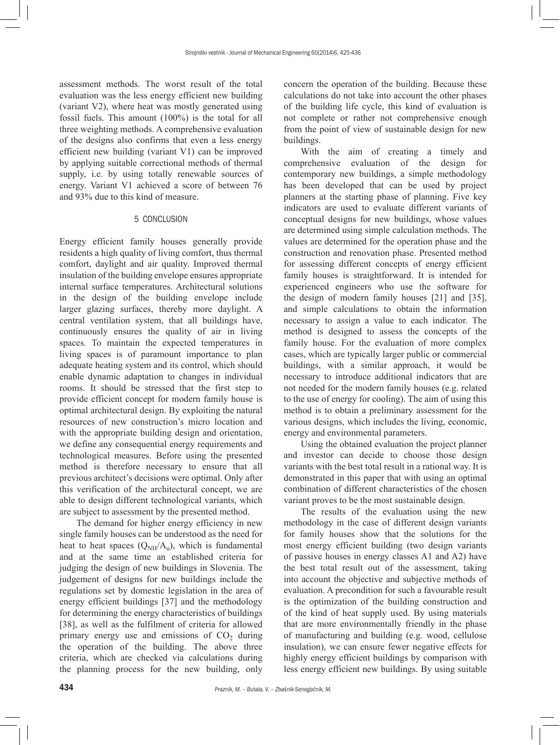assessment methods. The worst result of the total evaluation was the less energy efficient new building (variant V2), where heat was mostly generated using fossil fuels. This amount (100%) is the total for all three weighting methods. A comprehensive evaluation of the designs also confirms that even a less energy efficient new building (variant V1) can be improved by applying suitable correctional methods of thermal supply, i.e. by using totally renewable sources of energy. Variant V1 achieved a score of between 76 and 93% due to this kind of measure.

#### 5 CONCLUSION

Energy efficient family houses generally provide residents a high quality of living comfort, thus thermal comfort, daylight and air quality. Improved thermal insulation of the building envelope ensures appropriate internal surface temperatures. Architectural solutions in the design of the building envelope include larger glazing surfaces, thereby more daylight. A central ventilation system, that all buildings have, continuously ensures the quality of air in living spaces. To maintain the expected temperatures in living spaces is of paramount importance to plan adequate heating system and its control, which should enable dynamic adaptation to changes in individual rooms. It should be stressed that the first step to provide efficient concept for modern family house is optimal architectural design. By exploiting the natural resources of new construction's micro location and with the appropriate building design and orientation, we define any consequential energy requirements and technological measures. Before using the presented method is therefore necessary to ensure that all previous architect's decisions were optimal. Only after this verification of the architectural concept, we are able to design different technological variants, which are subject to assessment by the presented method.

The demand for higher energy efficiency in new single family houses can be understood as the need for heat to heat spaces  $(Q_{NH}/A_u)$ , which is fundamental and at the same time an established criteria for judging the design of new buildings in Slovenia. The judgement of designs for new buildings include the regulations set by domestic legislation in the area of energy efficient buildings [37] and the methodology for determining the energy characteristics of buildings [38], as well as the fulfilment of criteria for allowed primary energy use and emissions of  $CO<sub>2</sub>$  during the operation of the building. The above three criteria, which are checked via calculations during the planning process for the new building, only

concern the operation of the building. Because these calculations do not take into account the other phases of the building life cycle, this kind of evaluation is not complete or rather not comprehensive enough from the point of view of sustainable design for new buildings.

With the aim of creating a timely and comprehensive evaluation of the design for contemporary new buildings, a simple methodology has been developed that can be used by project planners at the starting phase of planning. Five key indicators are used to evaluate different variants of conceptual designs for new buildings, whose values are determined using simple calculation methods. The values are determined for the operation phase and the construction and renovation phase. Presented method for assessing different concepts of energy efficient family houses is straightforward. It is intended for experienced engineers who use the software for the design of modern family houses [21] and [35], and simple calculations to obtain the information necessary to assign a value to each indicator. The method is designed to assess the concepts of the family house. For the evaluation of more complex cases, which are typically larger public or commercial buildings, with a similar approach, it would be necessary to introduce additional indicators that are not needed for the modern family houses (e.g. related to the use of energy for cooling). The aim of using this method is to obtain a preliminary assessment for the various designs, which includes the living, economic, energy and environmental parameters.

Using the obtained evaluation the project planner and investor can decide to choose those design variants with the best total result in a rational way. It is demonstrated in this paper that with using an optimal combination of different characteristics of the chosen variant proves to be the most sustainable design.

The results of the evaluation using the new methodology in the case of different design variants for family houses show that the solutions for the most energy efficient building (two design variants of passive houses in energy classes A1 and A2) have the best total result out of the assessment, taking into account the objective and subjective methods of evaluation. A precondition for such a favourable result is the optimization of the building construction and of the kind of heat supply used. By using materials that are more environmentally friendly in the phase of manufacturing and building (e.g. wood, cellulose insulation), we can ensure fewer negative effects for highly energy efficient buildings by comparison with less energy efficient new buildings. By using suitable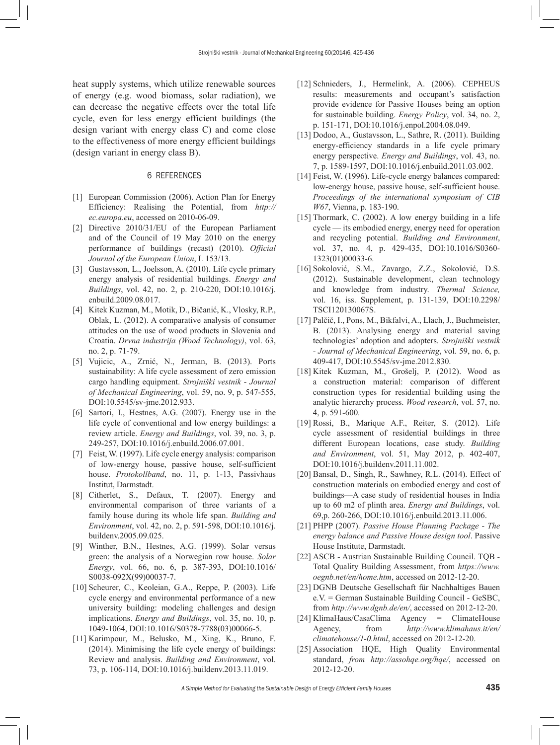heat supply systems, which utilize renewable sources of energy (e.g. wood biomass, solar radiation), we can decrease the negative effects over the total life cycle, even for less energy efficient buildings (the design variant with energy class C) and come close to the effectiveness of more energy efficient buildings (design variant in energy class B).

#### 6 REFERENCES

- [1] European Commission (2006). Action Plan for Energy Efficiency: Realising the Potential, from *http:// ec.europa.eu*, accessed on 2010-06-09.
- [2] Directive 2010/31/EU of the European Parliament and of the Council of 19 May 2010 on the energy performance of buildings (recast) (2010). *Official Journal of the European Union*, L 153/13.
- [3] Gustavsson, L., Joelsson, A. (2010). Life cycle primary energy analysis of residential buildings. *Energy and Buildings*, vol. 42, no. 2, p. 210-220, [DOI:10.1016/j.](http://dx.doi.org/10.1016/j.enbuild.2009.08.017) [enbuild.2009.08.017.](http://dx.doi.org/10.1016/j.enbuild.2009.08.017)
- [4] Kitek Kuzman, M., Motik, D., Bičanić, K., Vlosky, R.P., Oblak, L. (2012). A comparative analysis of consumer attitudes on the use of wood products in Slovenia and Croatia. *Drvna industrija (Wood Technology)*, vol. 63, no. 2, p. 71-79.
- [5] Vujicic, A., Zrnić, N., Jerman, B. (2013). Ports sustainability: A life cycle assessment of zero emission cargo handling equipment. *Strojniški vestnik - Journal of Mechanical Engineering*, vol. 59, no. 9, p. 547-555, [DOI:10.5545/sv-jme.2012.933.](http://dx.doi.org/10.5545/sv-jme.2012.933)
- [6] Sartori, I., Hestnes, A.G. (2007). Energy use in the life cycle of conventional and low energy buildings: a review article. *Energy and Buildings*, vol. 39, no. 3, p. 249-257, [DOI:10.1016/j.enbuild.2006.07.001.](http://dx.doi.org/10.1016/j.enbuild.2006.07.001)
- [7] Feist, W. (1997). Life cycle energy analysis: comparison of low-energy house, passive house, self-sufficient house. *Protokollband*, no. 11, p. 1-13, Passivhaus Institut, Darmstadt.
- [8] Citherlet, S., Defaux, T. (2007). Energy and environmental comparison of three variants of a family house during its whole life span. *Building and Environment*, vol. 42, no. 2, p. 591-598, [DOI:10.1016/j.](http://dx.doi.org/10.1016/j.buildenv.2005.09.025) [buildenv.2005.09.025.](http://dx.doi.org/10.1016/j.buildenv.2005.09.025)
- [9] Winther, B.N., Hestnes, A.G. (1999). Solar versus green: the analysis of a Norwegian row house. *Solar Energy*, vol. 66, no. 6, p. 387-393, [DOI:10.1016/](http://dx.doi.org/10.1016/S0038-092X(99)00037-7) [S0038-092X\(99\)00037-7.](http://dx.doi.org/10.1016/S0038-092X(99)00037-7)
- [10] Scheurer, C., Keoleian, G.A., Reppe, P. (2003). Life cycle energy and environmental performance of a new university building: modeling challenges and design implications. *Energy and Buildings*, vol. 35, no. 10, p. 1049-1064, [DOI:10.1016/S0378-7788\(03\)00066-5.](http://dx.doi.org/10.1016/S0378-7788(03)00066-5)
- [11] Karimpour, M., Belusko, M., Xing, K., Bruno, F. (2014). Minimising the life cycle energy of buildings: Review and analysis. *Building and Environment*, vol. 73, p. 106-114, [DOI:10.1016/j.buildenv.2013.11.019.](http://dx.doi.org/10.1016/j.buildenv.2013.11.019)
- [12] Schnieders, J., Hermelink, A. (2006). CEPHEUS results: measurements and occupant's satisfaction provide evidence for Passive Houses being an option for sustainable building. *Energy Policy*, vol. 34, no. 2, p. 151-171, [DOI:10.1016/j.enpol.2004.08.049.](http://dx.doi.org/10.1016/j.enpol.2004.08.049)
- [13] Dodoo, A., Gustavsson, L., Sathre, R. (2011). Building energy-efficiency standards in a life cycle primary energy perspective. *Energy and Buildings*, vol. 43, no. 7, p. 1589-1597, [DOI:10.1016/j.enbuild.2011.03.002.](http://dx.doi.org/10.1016/j.enbuild.2011.03.002)
- [14] Feist, W. (1996). Life-cycle energy balances compared: low-energy house, passive house, self-sufficient house. *Proceedings of the international symposium of CIB W67*, Vienna, p. 183-190.
- [15] Thormark, C. (2002). A low energy building in a life cycle — its embodied energy, energy need for operation and recycling potential. *Building and Environment*, vol. 37, no. 4, p. 429-435, [DOI:10.1016/S0360-](http://dx.doi.org/10.1016/S0360-1323(01)00033-6) [1323\(01\)00033-6.](http://dx.doi.org/10.1016/S0360-1323(01)00033-6)
- [16] Sokolović, S.M., Zavargo, Z.Z., Sokolović, D.S. (2012). Sustainable development, clean technology and knowledge from industry. *Thermal Science,*  vol. 16, iss. Supplement, p. 131-139, [DOI:10.2298/](http://dx.doi.org/10.2298/TSCI120130067S) [TSCI120130067S.](http://dx.doi.org/10.2298/TSCI120130067S)
- [17] Palčič, I., Pons, M., Bikfalvi, A., Llach, J., Buchmeister, B. (2013). Analysing energy and material saving technologies' adoption and adopters. *Strojniški vestnik - Journal of Mechanical Engineering*, vol. 59, no. 6, p. 409-417, [DOI:10.5545/sv-jme.2012.830.](http://dx.doi.org/10.5545/sv-jme.2012.830)
- [18] Kitek Kuzman, M., Grošelj, P. (2012). Wood as a construction material: comparison of different construction types for residential building using the analytic hierarchy process. *Wood research*, vol. 57, no. 4, p. 591-600.
- [19] Rossi, B., Marique A.F., Reiter, S. (2012). Life cycle assessment of residential buildings in three different European locations, case study. *Building and Environment*, vol. 51, May 2012, p. 402-407, [DOI:10.1016/j.buildenv.2011.11.002.](http://dx.doi.org/10.1016/j.buildenv.2011.11.002)
- [20] Bansal, D., Singh, R., Sawhney, R.L. (2014). Effect of construction materials on embodied energy and cost of buildings—A case study of residential houses in India up to 60 m2 of plinth area. *Energy and Buildings*, vol. 69,p. 260-266, [DOI:10.1016/j.enbuild.2013.11.006.](http://dx.doi.org/10.1016/j.enbuild.2013.11.006)
- [21] PHPP (2007). *Passive House Planning Package The energy balance and Passive House design tool*. Passive House Institute, Darmstadt.
- [22] ASCB Austrian Sustainable Building Council. TQB Total Quality Building Assessment, from *https://www. oegnb.net/en/home.htm*, accessed on 2012-12-20.
- [23] DGNB Deutsche Gesellschaft für Nachhaltiges Bauen e.V. = German Sustainable Building Council - GeSBC, from *http://www.dgnb.de/en/*, accessed on 2012-12-20.
- [24] KlimaHaus/CasaClima Agency = ClimateHouse Agency, from *http://www.klimahaus.it/en/ climatehouse/1-0.html*, accessed on 2012-12-20.
- [25] Association HQE, High Quality Environmental standard, *from http://assohqe.org/hqe/*, accessed on 2012-12-20.